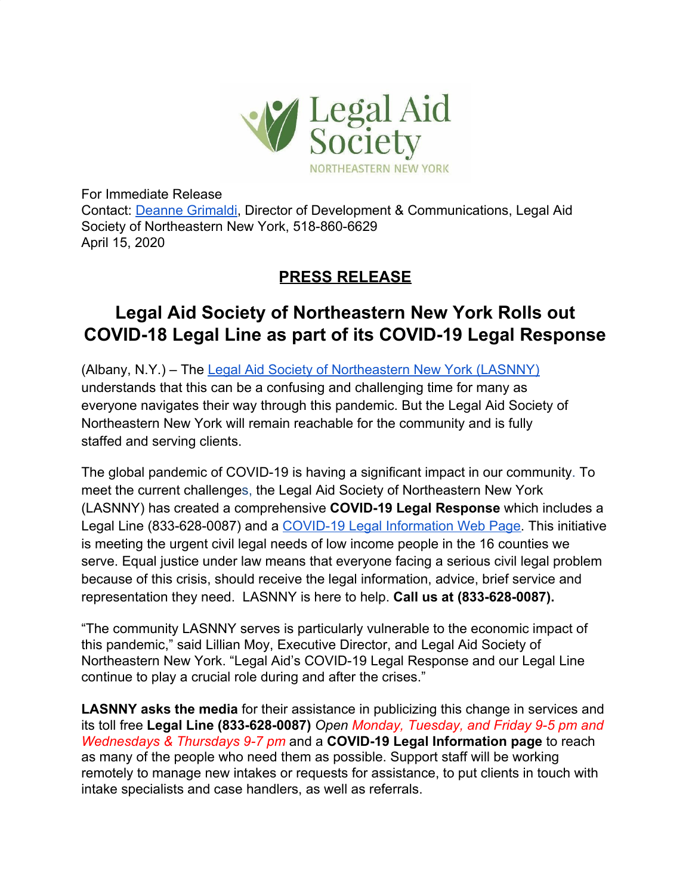

For Immediate Release Contact: [Deanne Grimaldi](mailto:dgrimaldi@lasnny.org), Director of Development & Communications, Legal Aid Society of Northeastern New York, 518-860-6629 April 15, 2020

## **PRESS RELEASE**

## **Legal Aid Society of Northeastern New York Rolls out COVID-18 Legal Line as part of its COVID-19 Legal Response**

(Albany, N.Y.) – The [Legal Aid Society of Northeastern New York \(LASNNY\)](https://www.lasnny.org/) understands that this can be a confusing and challenging time for many as everyone navigates their way through this pandemic. But the Legal Aid Society of Northeastern New York will remain reachable for the community and is fully staffed and serving clients.

The global pandemic of COVID-19 is having a significant impact in our community. To meet the current challenges, the Legal Aid Society of Northeastern New York (LASNNY) has created a comprehensive **COVID-19 Legal Response** which includes a Legal Line (833-628-0087) and a [COVID-19 Legal Information Web Page.](https://www.lasnny.org/coronavirus-information/) This initiative is meeting the urgent civil legal needs of low income people in the 16 counties we serve. Equal justice under law means that everyone facing a serious civil legal problem because of this crisis, should receive the legal information, advice, brief service and representation they need. LASNNY is here to help. **Call us at (833-628-0087).**

"The community LASNNY serves is particularly vulnerable to the economic impact of this pandemic," said Lillian Moy, Executive Director, and Legal Aid Society of Northeastern New York. "Legal Aid's COVID-19 Legal Response and our Legal Line continue to play a crucial role during and after the crises."

**LASNNY asks the media** for their assistance in publicizing this change in services and its toll free **Legal Line (833-628-0087)** *Open Monday, Tuesday, and Friday 9-5 pm and Wednesdays & Thursdays 9-7 pm* and a **COVID-19 Legal Information page** to reach as many of the people who need them as possible. Support staff will be working remotely to manage new intakes or requests for assistance, to put clients in touch with intake specialists and case handlers, as well as referrals.